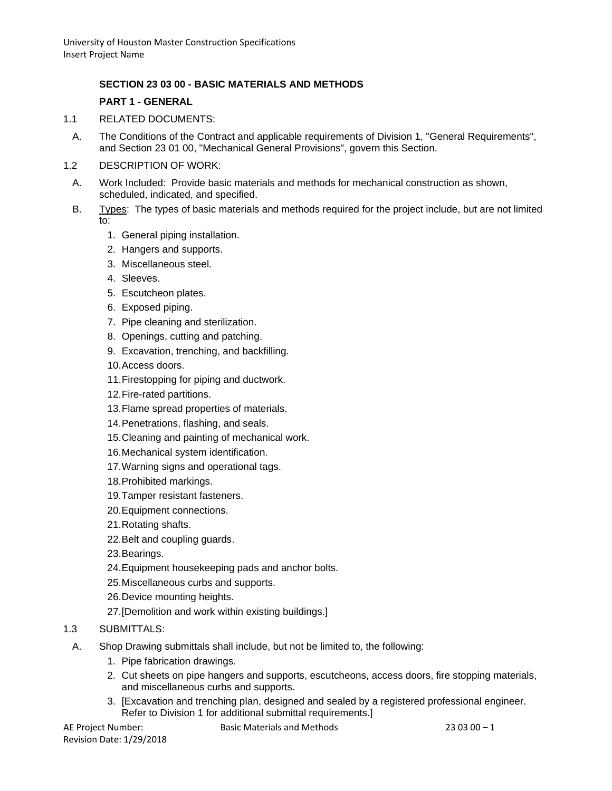# **SECTION 23 03 00 - BASIC MATERIALS AND METHODS**

## **PART 1 - GENERAL**

- 1.1 RELATED DOCUMENTS:
	- A. The Conditions of the Contract and applicable requirements of Division 1, "General Requirements", and Section 23 01 00, "Mechanical General Provisions", govern this Section.
- 1.2 DESCRIPTION OF WORK:
	- A. Work Included: Provide basic materials and methods for mechanical construction as shown, scheduled, indicated, and specified.
- B. Types: The types of basic materials and methods required for the project include, but are not limited to:
	- 1. General piping installation.
	- 2. Hangers and supports.
	- 3. Miscellaneous steel.
	- 4. Sleeves.
	- 5. Escutcheon plates.
	- 6. Exposed piping.
	- 7. Pipe cleaning and sterilization.
	- 8. Openings, cutting and patching.
	- 9. Excavation, trenching, and backfilling.
	- 10.Access doors.
	- 11.Firestopping for piping and ductwork.
	- 12.Fire-rated partitions.
	- 13.Flame spread properties of materials.
	- 14.Penetrations, flashing, and seals.
	- 15.Cleaning and painting of mechanical work.
	- 16.Mechanical system identification.
	- 17.Warning signs and operational tags.
	- 18.Prohibited markings.
	- 19.Tamper resistant fasteners.
	- 20.Equipment connections.
	- 21.Rotating shafts.
	- 22.Belt and coupling guards.
	- 23.Bearings.
	- 24.Equipment housekeeping pads and anchor bolts.
	- 25.Miscellaneous curbs and supports.
	- 26.Device mounting heights.
	- 27.[Demolition and work within existing buildings.]

# 1.3 SUBMITTALS:

- A. Shop Drawing submittals shall include, but not be limited to, the following:
	- 1. Pipe fabrication drawings.
	- 2. Cut sheets on pipe hangers and supports, escutcheons, access doors, fire stopping materials, and miscellaneous curbs and supports.
	- 3. [Excavation and trenching plan, designed and sealed by a registered professional engineer. Refer to Division 1 for additional submittal requirements.]

Revision Date: 1/29/2018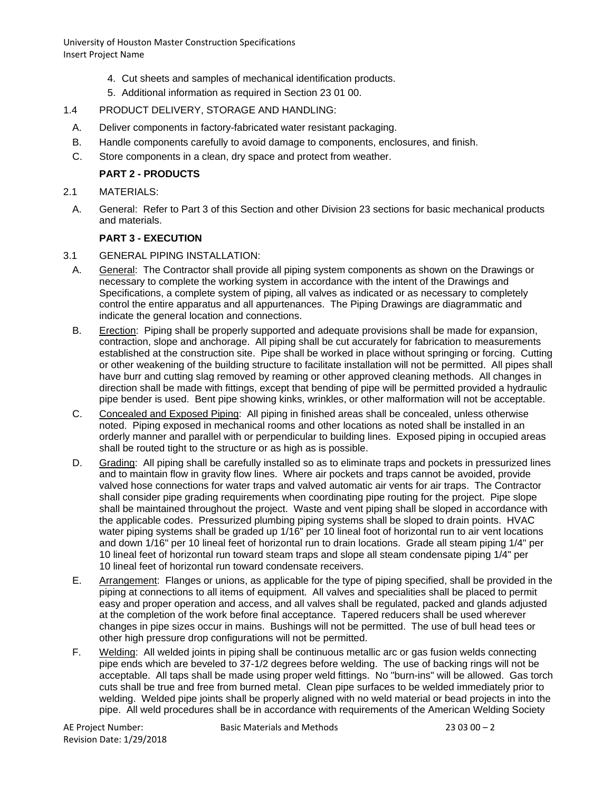- 4. Cut sheets and samples of mechanical identification products.
- 5. Additional information as required in Section 23 01 00.

## 1.4 PRODUCT DELIVERY, STORAGE AND HANDLING:

- A. Deliver components in factory-fabricated water resistant packaging.
- B. Handle components carefully to avoid damage to components, enclosures, and finish.
- C. Store components in a clean, dry space and protect from weather.

# **PART 2 - PRODUCTS**

- 2.1 MATERIALS:
- A. General: Refer to Part 3 of this Section and other Division 23 sections for basic mechanical products and materials.

# **PART 3 - EXECUTION**

- 3.1 GENERAL PIPING INSTALLATION:
	- A. General: The Contractor shall provide all piping system components as shown on the Drawings or necessary to complete the working system in accordance with the intent of the Drawings and Specifications, a complete system of piping, all valves as indicated or as necessary to completely control the entire apparatus and all appurtenances. The Piping Drawings are diagrammatic and indicate the general location and connections.
	- B. Erection: Piping shall be properly supported and adequate provisions shall be made for expansion, contraction, slope and anchorage. All piping shall be cut accurately for fabrication to measurements established at the construction site. Pipe shall be worked in place without springing or forcing. Cutting or other weakening of the building structure to facilitate installation will not be permitted. All pipes shall have burr and cutting slag removed by reaming or other approved cleaning methods. All changes in direction shall be made with fittings, except that bending of pipe will be permitted provided a hydraulic pipe bender is used. Bent pipe showing kinks, wrinkles, or other malformation will not be acceptable.
	- C. Concealed and Exposed Piping: All piping in finished areas shall be concealed, unless otherwise noted. Piping exposed in mechanical rooms and other locations as noted shall be installed in an orderly manner and parallel with or perpendicular to building lines. Exposed piping in occupied areas shall be routed tight to the structure or as high as is possible.
	- D. Grading: All piping shall be carefully installed so as to eliminate traps and pockets in pressurized lines and to maintain flow in gravity flow lines. Where air pockets and traps cannot be avoided, provide valved hose connections for water traps and valved automatic air vents for air traps. The Contractor shall consider pipe grading requirements when coordinating pipe routing for the project. Pipe slope shall be maintained throughout the project. Waste and vent piping shall be sloped in accordance with the applicable codes. Pressurized plumbing piping systems shall be sloped to drain points. HVAC water piping systems shall be graded up 1/16" per 10 lineal foot of horizontal run to air vent locations and down 1/16" per 10 lineal feet of horizontal run to drain locations. Grade all steam piping 1/4" per 10 lineal feet of horizontal run toward steam traps and slope all steam condensate piping 1/4" per 10 lineal feet of horizontal run toward condensate receivers.
	- E. Arrangement: Flanges or unions, as applicable for the type of piping specified, shall be provided in the piping at connections to all items of equipment. All valves and specialities shall be placed to permit easy and proper operation and access, and all valves shall be regulated, packed and glands adjusted at the completion of the work before final acceptance. Tapered reducers shall be used wherever changes in pipe sizes occur in mains. Bushings will not be permitted. The use of bull head tees or other high pressure drop configurations will not be permitted.
	- F. Welding: All welded joints in piping shall be continuous metallic arc or gas fusion welds connecting pipe ends which are beveled to 37-1/2 degrees before welding. The use of backing rings will not be acceptable. All taps shall be made using proper weld fittings. No "burn-ins" will be allowed. Gas torch cuts shall be true and free from burned metal. Clean pipe surfaces to be welded immediately prior to welding. Welded pipe joints shall be properly aligned with no weld material or bead projects in into the pipe. All weld procedures shall be in accordance with requirements of the American Welding Society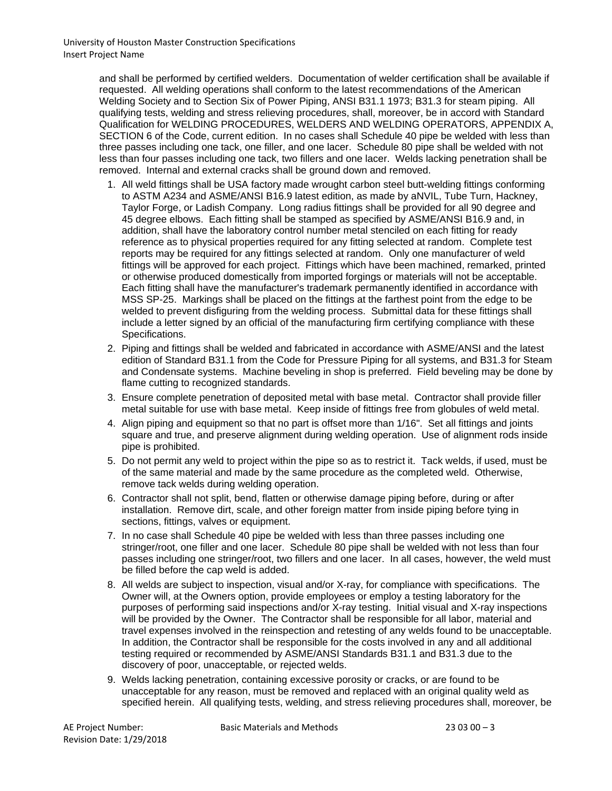> and shall be performed by certified welders. Documentation of welder certification shall be available if requested. All welding operations shall conform to the latest recommendations of the American Welding Society and to Section Six of Power Piping, ANSI B31.1 1973; B31.3 for steam piping. All qualifying tests, welding and stress relieving procedures, shall, moreover, be in accord with Standard Qualification for WELDING PROCEDURES, WELDERS AND WELDING OPERATORS, APPENDIX A, SECTION 6 of the Code, current edition. In no cases shall Schedule 40 pipe be welded with less than three passes including one tack, one filler, and one lacer. Schedule 80 pipe shall be welded with not less than four passes including one tack, two fillers and one lacer. Welds lacking penetration shall be removed. Internal and external cracks shall be ground down and removed.

- 1. All weld fittings shall be USA factory made wrought carbon steel butt-welding fittings conforming to ASTM A234 and ASME/ANSI B16.9 latest edition, as made by aNVIL, Tube Turn, Hackney, Taylor Forge, or Ladish Company. Long radius fittings shall be provided for all 90 degree and 45 degree elbows. Each fitting shall be stamped as specified by ASME/ANSI B16.9 and, in addition, shall have the laboratory control number metal stenciled on each fitting for ready reference as to physical properties required for any fitting selected at random. Complete test reports may be required for any fittings selected at random. Only one manufacturer of weld fittings will be approved for each project. Fittings which have been machined, remarked, printed or otherwise produced domestically from imported forgings or materials will not be acceptable. Each fitting shall have the manufacturer's trademark permanently identified in accordance with MSS SP-25. Markings shall be placed on the fittings at the farthest point from the edge to be welded to prevent disfiguring from the welding process. Submittal data for these fittings shall include a letter signed by an official of the manufacturing firm certifying compliance with these Specifications.
- 2. Piping and fittings shall be welded and fabricated in accordance with ASME/ANSI and the latest edition of Standard B31.1 from the Code for Pressure Piping for all systems, and B31.3 for Steam and Condensate systems. Machine beveling in shop is preferred. Field beveling may be done by flame cutting to recognized standards.
- 3. Ensure complete penetration of deposited metal with base metal. Contractor shall provide filler metal suitable for use with base metal. Keep inside of fittings free from globules of weld metal.
- 4. Align piping and equipment so that no part is offset more than 1/16". Set all fittings and joints square and true, and preserve alignment during welding operation. Use of alignment rods inside pipe is prohibited.
- 5. Do not permit any weld to project within the pipe so as to restrict it. Tack welds, if used, must be of the same material and made by the same procedure as the completed weld. Otherwise, remove tack welds during welding operation.
- 6. Contractor shall not split, bend, flatten or otherwise damage piping before, during or after installation. Remove dirt, scale, and other foreign matter from inside piping before tying in sections, fittings, valves or equipment.
- 7. In no case shall Schedule 40 pipe be welded with less than three passes including one stringer/root, one filler and one lacer. Schedule 80 pipe shall be welded with not less than four passes including one stringer/root, two fillers and one lacer. In all cases, however, the weld must be filled before the cap weld is added.
- 8. All welds are subject to inspection, visual and/or X-ray, for compliance with specifications. The Owner will, at the Owners option, provide employees or employ a testing laboratory for the purposes of performing said inspections and/or X-ray testing. Initial visual and X-ray inspections will be provided by the Owner. The Contractor shall be responsible for all labor, material and travel expenses involved in the reinspection and retesting of any welds found to be unacceptable. In addition, the Contractor shall be responsible for the costs involved in any and all additional testing required or recommended by ASME/ANSI Standards B31.1 and B31.3 due to the discovery of poor, unacceptable, or rejected welds.
- 9. Welds lacking penetration, containing excessive porosity or cracks, or are found to be unacceptable for any reason, must be removed and replaced with an original quality weld as specified herein. All qualifying tests, welding, and stress relieving procedures shall, moreover, be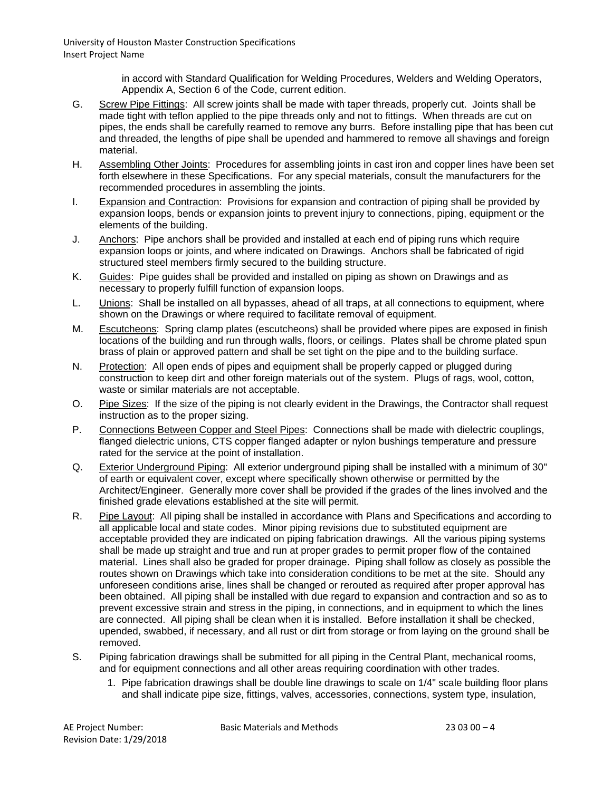> in accord with Standard Qualification for Welding Procedures, Welders and Welding Operators, Appendix A, Section 6 of the Code, current edition.

- G. Screw Pipe Fittings: All screw joints shall be made with taper threads, properly cut. Joints shall be made tight with teflon applied to the pipe threads only and not to fittings. When threads are cut on pipes, the ends shall be carefully reamed to remove any burrs. Before installing pipe that has been cut and threaded, the lengths of pipe shall be upended and hammered to remove all shavings and foreign material.
- H. Assembling Other Joints: Procedures for assembling joints in cast iron and copper lines have been set forth elsewhere in these Specifications. For any special materials, consult the manufacturers for the recommended procedures in assembling the joints.
- I. Expansion and Contraction: Provisions for expansion and contraction of piping shall be provided by expansion loops, bends or expansion joints to prevent injury to connections, piping, equipment or the elements of the building.
- J. Anchors: Pipe anchors shall be provided and installed at each end of piping runs which require expansion loops or joints, and where indicated on Drawings. Anchors shall be fabricated of rigid structured steel members firmly secured to the building structure.
- K. Guides: Pipe guides shall be provided and installed on piping as shown on Drawings and as necessary to properly fulfill function of expansion loops.
- L. Unions: Shall be installed on all bypasses, ahead of all traps, at all connections to equipment, where shown on the Drawings or where required to facilitate removal of equipment.
- M. Escutcheons: Spring clamp plates (escutcheons) shall be provided where pipes are exposed in finish locations of the building and run through walls, floors, or ceilings. Plates shall be chrome plated spun brass of plain or approved pattern and shall be set tight on the pipe and to the building surface.
- N. Protection: All open ends of pipes and equipment shall be properly capped or plugged during construction to keep dirt and other foreign materials out of the system. Plugs of rags, wool, cotton, waste or similar materials are not acceptable.
- O. Pipe Sizes: If the size of the piping is not clearly evident in the Drawings, the Contractor shall request instruction as to the proper sizing.
- P. Connections Between Copper and Steel Pipes: Connections shall be made with dielectric couplings, flanged dielectric unions, CTS copper flanged adapter or nylon bushings temperature and pressure rated for the service at the point of installation.
- Q. Exterior Underground Piping: All exterior underground piping shall be installed with a minimum of 30" of earth or equivalent cover, except where specifically shown otherwise or permitted by the Architect/Engineer. Generally more cover shall be provided if the grades of the lines involved and the finished grade elevations established at the site will permit.
- R. Pipe Layout: All piping shall be installed in accordance with Plans and Specifications and according to all applicable local and state codes. Minor piping revisions due to substituted equipment are acceptable provided they are indicated on piping fabrication drawings. All the various piping systems shall be made up straight and true and run at proper grades to permit proper flow of the contained material. Lines shall also be graded for proper drainage. Piping shall follow as closely as possible the routes shown on Drawings which take into consideration conditions to be met at the site. Should any unforeseen conditions arise, lines shall be changed or rerouted as required after proper approval has been obtained. All piping shall be installed with due regard to expansion and contraction and so as to prevent excessive strain and stress in the piping, in connections, and in equipment to which the lines are connected. All piping shall be clean when it is installed. Before installation it shall be checked, upended, swabbed, if necessary, and all rust or dirt from storage or from laying on the ground shall be removed.
- S. Piping fabrication drawings shall be submitted for all piping in the Central Plant, mechanical rooms, and for equipment connections and all other areas requiring coordination with other trades.
	- 1. Pipe fabrication drawings shall be double line drawings to scale on 1/4" scale building floor plans and shall indicate pipe size, fittings, valves, accessories, connections, system type, insulation,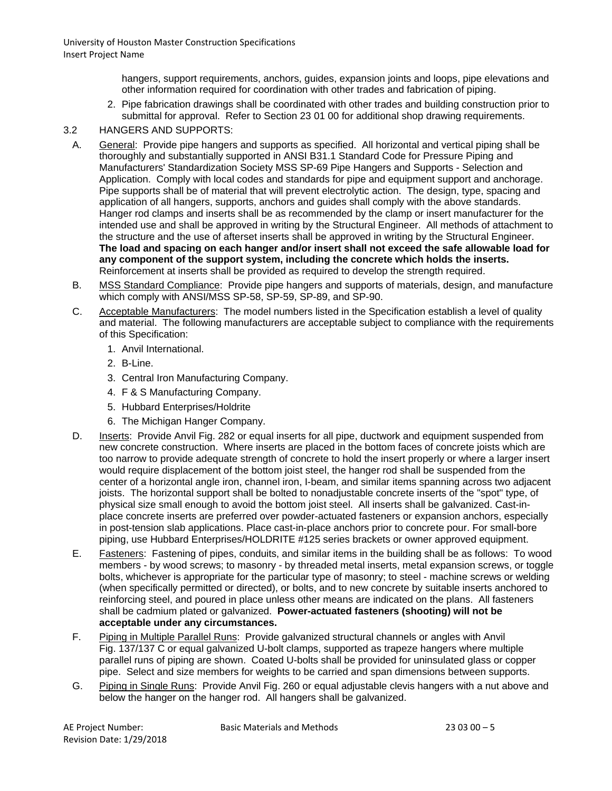hangers, support requirements, anchors, guides, expansion joints and loops, pipe elevations and other information required for coordination with other trades and fabrication of piping.

2. Pipe fabrication drawings shall be coordinated with other trades and building construction prior to submittal for approval. Refer to Section 23 01 00 for additional shop drawing requirements.

## 3.2 HANGERS AND SUPPORTS:

- A. General: Provide pipe hangers and supports as specified. All horizontal and vertical piping shall be thoroughly and substantially supported in ANSI B31.1 Standard Code for Pressure Piping and Manufacturers' Standardization Society MSS SP-69 Pipe Hangers and Supports - Selection and Application. Comply with local codes and standards for pipe and equipment support and anchorage. Pipe supports shall be of material that will prevent electrolytic action. The design, type, spacing and application of all hangers, supports, anchors and guides shall comply with the above standards. Hanger rod clamps and inserts shall be as recommended by the clamp or insert manufacturer for the intended use and shall be approved in writing by the Structural Engineer. All methods of attachment to the structure and the use of afterset inserts shall be approved in writing by the Structural Engineer. **The load and spacing on each hanger and/or insert shall not exceed the safe allowable load for any component of the support system, including the concrete which holds the inserts.** Reinforcement at inserts shall be provided as required to develop the strength required.
- B. MSS Standard Compliance: Provide pipe hangers and supports of materials, design, and manufacture which comply with ANSI/MSS SP-58, SP-59, SP-89, and SP-90.
- C. Acceptable Manufacturers: The model numbers listed in the Specification establish a level of quality and material. The following manufacturers are acceptable subject to compliance with the requirements of this Specification:
	- 1. Anvil International.
	- 2. B-Line.
	- 3. Central Iron Manufacturing Company.
	- 4. F & S Manufacturing Company.
	- 5. Hubbard Enterprises/Holdrite
	- 6. The Michigan Hanger Company.
- D. Inserts: Provide Anvil Fig. 282 or equal inserts for all pipe, ductwork and equipment suspended from new concrete construction. Where inserts are placed in the bottom faces of concrete joists which are too narrow to provide adequate strength of concrete to hold the insert properly or where a larger insert would require displacement of the bottom joist steel, the hanger rod shall be suspended from the center of a horizontal angle iron, channel iron, I-beam, and similar items spanning across two adjacent joists. The horizontal support shall be bolted to nonadjustable concrete inserts of the "spot" type, of physical size small enough to avoid the bottom joist steel. All inserts shall be galvanized. Cast-inplace concrete inserts are preferred over powder-actuated fasteners or expansion anchors, especially in post-tension slab applications. Place cast-in-place anchors prior to concrete pour. For small-bore piping, use Hubbard Enterprises/HOLDRITE #125 series brackets or owner approved equipment.
- E. Fasteners: Fastening of pipes, conduits, and similar items in the building shall be as follows: To wood members - by wood screws; to masonry - by threaded metal inserts, metal expansion screws, or toggle bolts, whichever is appropriate for the particular type of masonry; to steel - machine screws or welding (when specifically permitted or directed), or bolts, and to new concrete by suitable inserts anchored to reinforcing steel, and poured in place unless other means are indicated on the plans. All fasteners shall be cadmium plated or galvanized. **Power-actuated fasteners (shooting) will not be acceptable under any circumstances.**
- F. Piping in Multiple Parallel Runs: Provide galvanized structural channels or angles with Anvil Fig. 137/137 C or equal galvanized U-bolt clamps, supported as trapeze hangers where multiple parallel runs of piping are shown. Coated U-bolts shall be provided for uninsulated glass or copper pipe. Select and size members for weights to be carried and span dimensions between supports.
- G. Piping in Single Runs: Provide Anvil Fig. 260 or equal adjustable clevis hangers with a nut above and below the hanger on the hanger rod. All hangers shall be galvanized.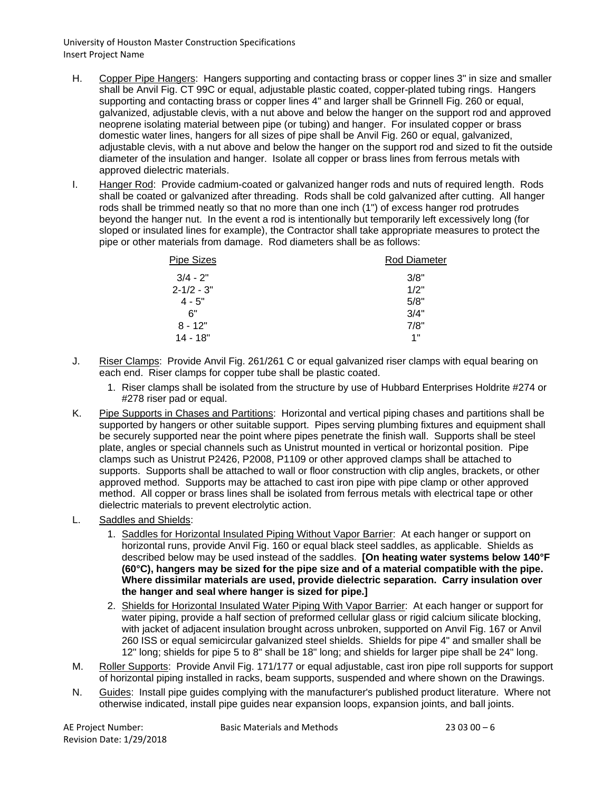- H. Copper Pipe Hangers: Hangers supporting and contacting brass or copper lines 3" in size and smaller shall be Anvil Fig. CT 99C or equal, adjustable plastic coated, copper-plated tubing rings. Hangers supporting and contacting brass or copper lines 4" and larger shall be Grinnell Fig. 260 or equal, galvanized, adjustable clevis, with a nut above and below the hanger on the support rod and approved neoprene isolating material between pipe (or tubing) and hanger. For insulated copper or brass domestic water lines, hangers for all sizes of pipe shall be Anvil Fig. 260 or equal, galvanized, adjustable clevis, with a nut above and below the hanger on the support rod and sized to fit the outside diameter of the insulation and hanger. Isolate all copper or brass lines from ferrous metals with approved dielectric materials.
- I. Hanger Rod: Provide cadmium-coated or galvanized hanger rods and nuts of required length. Rods shall be coated or galvanized after threading. Rods shall be cold galvanized after cutting. All hanger rods shall be trimmed neatly so that no more than one inch (1") of excess hanger rod protrudes beyond the hanger nut. In the event a rod is intentionally but temporarily left excessively long (for sloped or insulated lines for example), the Contractor shall take appropriate measures to protect the pipe or other materials from damage. Rod diameters shall be as follows:

| Pipe Sizes      | <b>Rod Diameter</b> |
|-----------------|---------------------|
| $3/4 - 2"$      | 3/8"                |
| $2 - 1/2 - 3$ " | 1/2"                |
| $4 - 5"$        | 5/8"                |
| 6"              | 3/4"                |
| $8 - 12"$       | 7/8"                |
| 14 - 18"        | 1"                  |
|                 |                     |

- J. Riser Clamps: Provide Anvil Fig. 261/261 C or equal galvanized riser clamps with equal bearing on each end. Riser clamps for copper tube shall be plastic coated.
	- 1. Riser clamps shall be isolated from the structure by use of Hubbard Enterprises Holdrite #274 or #278 riser pad or equal.
- K. Pipe Supports in Chases and Partitions: Horizontal and vertical piping chases and partitions shall be supported by hangers or other suitable support. Pipes serving plumbing fixtures and equipment shall be securely supported near the point where pipes penetrate the finish wall. Supports shall be steel plate, angles or special channels such as Unistrut mounted in vertical or horizontal position. Pipe clamps such as Unistrut P2426, P2008, P1109 or other approved clamps shall be attached to supports. Supports shall be attached to wall or floor construction with clip angles, brackets, or other approved method. Supports may be attached to cast iron pipe with pipe clamp or other approved method. All copper or brass lines shall be isolated from ferrous metals with electrical tape or other dielectric materials to prevent electrolytic action.
- L. Saddles and Shields:
	- 1. Saddles for Horizontal Insulated Piping Without Vapor Barrier: At each hanger or support on horizontal runs, provide Anvil Fig. 160 or equal black steel saddles, as applicable. Shields as described below may be used instead of the saddles. **[On heating water systems below 140°F (60°C), hangers may be sized for the pipe size and of a material compatible with the pipe. Where dissimilar materials are used, provide dielectric separation. Carry insulation over the hanger and seal where hanger is sized for pipe.]**
	- 2. Shields for Horizontal Insulated Water Piping With Vapor Barrier: At each hanger or support for water piping, provide a half section of preformed cellular glass or rigid calcium silicate blocking, with jacket of adjacent insulation brought across unbroken, supported on Anvil Fig. 167 or Anvil 260 ISS or equal semicircular galvanized steel shields. Shields for pipe 4" and smaller shall be 12" long; shields for pipe 5 to 8" shall be 18" long; and shields for larger pipe shall be 24" long.
- M. Roller Supports: Provide Anvil Fig. 171/177 or equal adjustable, cast iron pipe roll supports for support of horizontal piping installed in racks, beam supports, suspended and where shown on the Drawings.
- N. Guides: Install pipe guides complying with the manufacturer's published product literature. Where not otherwise indicated, install pipe guides near expansion loops, expansion joints, and ball joints.

Revision Date: 1/29/2018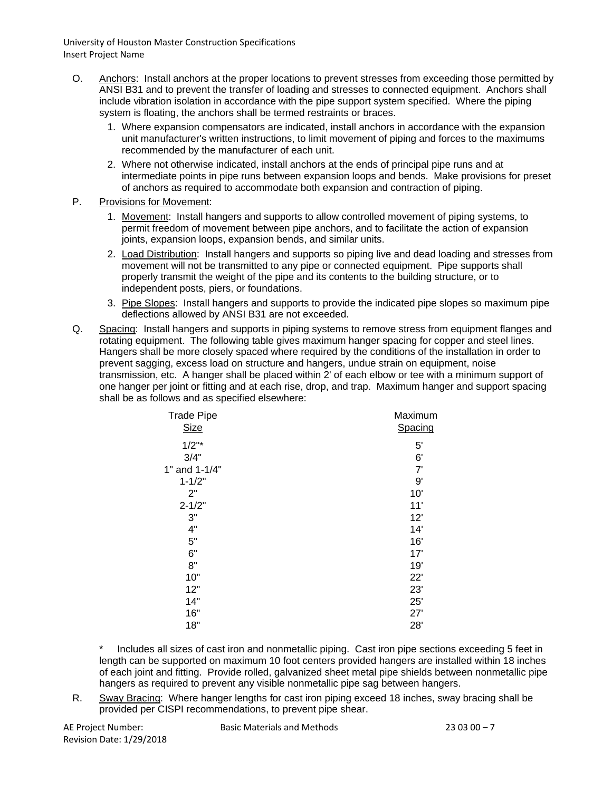- O. Anchors: Install anchors at the proper locations to prevent stresses from exceeding those permitted by ANSI B31 and to prevent the transfer of loading and stresses to connected equipment. Anchors shall include vibration isolation in accordance with the pipe support system specified. Where the piping system is floating, the anchors shall be termed restraints or braces.
	- 1. Where expansion compensators are indicated, install anchors in accordance with the expansion unit manufacturer's written instructions, to limit movement of piping and forces to the maximums recommended by the manufacturer of each unit.
	- 2. Where not otherwise indicated, install anchors at the ends of principal pipe runs and at intermediate points in pipe runs between expansion loops and bends. Make provisions for preset of anchors as required to accommodate both expansion and contraction of piping.
- P. Provisions for Movement:
	- 1. Movement: Install hangers and supports to allow controlled movement of piping systems, to permit freedom of movement between pipe anchors, and to facilitate the action of expansion joints, expansion loops, expansion bends, and similar units.
	- 2. Load Distribution: Install hangers and supports so piping live and dead loading and stresses from movement will not be transmitted to any pipe or connected equipment. Pipe supports shall properly transmit the weight of the pipe and its contents to the building structure, or to independent posts, piers, or foundations.
	- 3. Pipe Slopes: Install hangers and supports to provide the indicated pipe slopes so maximum pipe deflections allowed by ANSI B31 are not exceeded.
- Q. Spacing: Install hangers and supports in piping systems to remove stress from equipment flanges and rotating equipment. The following table gives maximum hanger spacing for copper and steel lines. Hangers shall be more closely spaced where required by the conditions of the installation in order to prevent sagging, excess load on structure and hangers, undue strain on equipment, noise transmission, etc. A hanger shall be placed within 2' of each elbow or tee with a minimum support of one hanger per joint or fitting and at each rise, drop, and trap. Maximum hanger and support spacing shall be as follows and as specified elsewhere:

| <b>Trade Pipe</b> | Maximum |
|-------------------|---------|
| <b>Size</b>       | Spacing |
| $1/2"$ *          | 5'      |
| 3/4"              | 6'      |
| 1" and 1-1/4"     | 7'      |
| $1 - 1/2"$        | 9'      |
| 2"                | 10'     |
| $2 - 1/2"$        | 11'     |
| 3"                | 12'     |
| 4"                | 14'     |
| 5"                | 16'     |
| 6"                | 17'     |
| 8"                | 19'     |
| 10"               | 22'     |
| 12"               | 23'     |
| 14"               | 25'     |
| 16"               | 27'     |
| 18"               | 28'     |
|                   |         |

Includes all sizes of cast iron and nonmetallic piping. Cast iron pipe sections exceeding 5 feet in length can be supported on maximum 10 foot centers provided hangers are installed within 18 inches of each joint and fitting. Provide rolled, galvanized sheet metal pipe shields between nonmetallic pipe hangers as required to prevent any visible nonmetallic pipe sag between hangers.

R. Sway Bracing: Where hanger lengths for cast iron piping exceed 18 inches, sway bracing shall be provided per CISPI recommendations, to prevent pipe shear.

Revision Date: 1/29/2018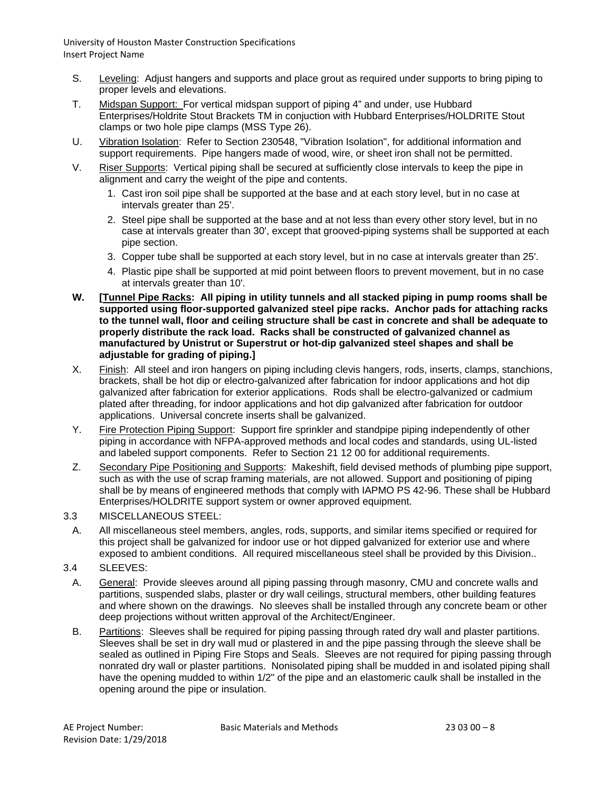- S. Leveling: Adjust hangers and supports and place grout as required under supports to bring piping to proper levels and elevations.
- T. Midspan Support: For vertical midspan support of piping 4" and under, use Hubbard Enterprises/Holdrite Stout Brackets TM in conjuction with Hubbard Enterprises/HOLDRITE Stout clamps or two hole pipe clamps (MSS Type 26).
- U. Vibration Isolation: Refer to Section 230548, "Vibration Isolation", for additional information and support requirements. Pipe hangers made of wood, wire, or sheet iron shall not be permitted.
- V. Riser Supports: Vertical piping shall be secured at sufficiently close intervals to keep the pipe in alignment and carry the weight of the pipe and contents.
	- 1. Cast iron soil pipe shall be supported at the base and at each story level, but in no case at intervals greater than 25'.
	- 2. Steel pipe shall be supported at the base and at not less than every other story level, but in no case at intervals greater than 30', except that grooved-piping systems shall be supported at each pipe section.
	- 3. Copper tube shall be supported at each story level, but in no case at intervals greater than 25'.
	- 4. Plastic pipe shall be supported at mid point between floors to prevent movement, but in no case at intervals greater than 10'.
- **W. [Tunnel Pipe Racks: All piping in utility tunnels and all stacked piping in pump rooms shall be supported using floor-supported galvanized steel pipe racks. Anchor pads for attaching racks to the tunnel wall, floor and ceiling structure shall be cast in concrete and shall be adequate to properly distribute the rack load. Racks shall be constructed of galvanized channel as manufactured by Unistrut or Superstrut or hot-dip galvanized steel shapes and shall be adjustable for grading of piping.]**
- X. Finish: All steel and iron hangers on piping including clevis hangers, rods, inserts, clamps, stanchions, brackets, shall be hot dip or electro-galvanized after fabrication for indoor applications and hot dip galvanized after fabrication for exterior applications. Rods shall be electro-galvanized or cadmium plated after threading, for indoor applications and hot dip galvanized after fabrication for outdoor applications. Universal concrete inserts shall be galvanized.
- Y. Fire Protection Piping Support: Support fire sprinkler and standpipe piping independently of other piping in accordance with NFPA-approved methods and local codes and standards, using UL-listed and labeled support components. Refer to Section 21 12 00 for additional requirements.
- Z. Secondary Pipe Positioning and Supports: Makeshift, field devised methods of plumbing pipe support, such as with the use of scrap framing materials, are not allowed. Support and positioning of piping shall be by means of engineered methods that comply with IAPMO PS 42-96. These shall be Hubbard Enterprises/HOLDRITE support system or owner approved equipment.
- 3.3 MISCELLANEOUS STEEL:
	- A. All miscellaneous steel members, angles, rods, supports, and similar items specified or required for this project shall be galvanized for indoor use or hot dipped galvanized for exterior use and where exposed to ambient conditions. All required miscellaneous steel shall be provided by this Division..
- 3.4 SLEEVES:
- A. General: Provide sleeves around all piping passing through masonry, CMU and concrete walls and partitions, suspended slabs, plaster or dry wall ceilings, structural members, other building features and where shown on the drawings. No sleeves shall be installed through any concrete beam or other deep projections without written approval of the Architect/Engineer.
- B. Partitions: Sleeves shall be required for piping passing through rated dry wall and plaster partitions. Sleeves shall be set in dry wall mud or plastered in and the pipe passing through the sleeve shall be sealed as outlined in Piping Fire Stops and Seals. Sleeves are not required for piping passing through nonrated dry wall or plaster partitions. Nonisolated piping shall be mudded in and isolated piping shall have the opening mudded to within 1/2" of the pipe and an elastomeric caulk shall be installed in the opening around the pipe or insulation.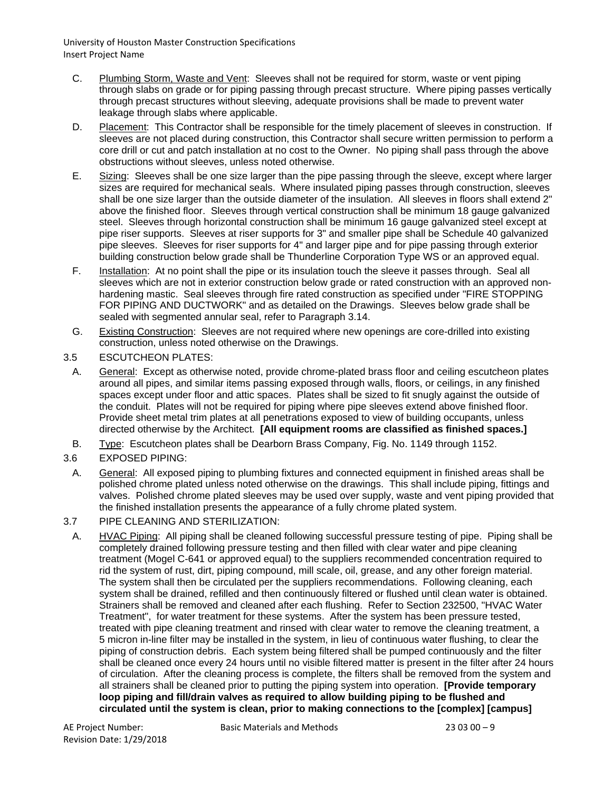- C. Plumbing Storm, Waste and Vent: Sleeves shall not be required for storm, waste or vent piping through slabs on grade or for piping passing through precast structure. Where piping passes vertically through precast structures without sleeving, adequate provisions shall be made to prevent water leakage through slabs where applicable.
- D. Placement: This Contractor shall be responsible for the timely placement of sleeves in construction. If sleeves are not placed during construction, this Contractor shall secure written permission to perform a core drill or cut and patch installation at no cost to the Owner. No piping shall pass through the above obstructions without sleeves, unless noted otherwise.
- E. Sizing: Sleeves shall be one size larger than the pipe passing through the sleeve, except where larger sizes are required for mechanical seals. Where insulated piping passes through construction, sleeves shall be one size larger than the outside diameter of the insulation. All sleeves in floors shall extend 2" above the finished floor. Sleeves through vertical construction shall be minimum 18 gauge galvanized steel. Sleeves through horizontal construction shall be minimum 16 gauge galvanized steel except at pipe riser supports. Sleeves at riser supports for 3" and smaller pipe shall be Schedule 40 galvanized pipe sleeves. Sleeves for riser supports for 4" and larger pipe and for pipe passing through exterior building construction below grade shall be Thunderline Corporation Type WS or an approved equal.
- F. Installation: At no point shall the pipe or its insulation touch the sleeve it passes through. Seal all sleeves which are not in exterior construction below grade or rated construction with an approved nonhardening mastic. Seal sleeves through fire rated construction as specified under "FIRE STOPPING FOR PIPING AND DUCTWORK" and as detailed on the Drawings. Sleeves below grade shall be sealed with segmented annular seal, refer to Paragraph 3.14.
- G. Existing Construction: Sleeves are not required where new openings are core-drilled into existing construction, unless noted otherwise on the Drawings.
- 3.5 ESCUTCHEON PLATES:
- A. General: Except as otherwise noted, provide chrome-plated brass floor and ceiling escutcheon plates around all pipes, and similar items passing exposed through walls, floors, or ceilings, in any finished spaces except under floor and attic spaces. Plates shall be sized to fit snugly against the outside of the conduit. Plates will not be required for piping where pipe sleeves extend above finished floor. Provide sheet metal trim plates at all penetrations exposed to view of building occupants, unless directed otherwise by the Architect. **[All equipment rooms are classified as finished spaces.]**
- B. Type: Escutcheon plates shall be Dearborn Brass Company, Fig. No. 1149 through 1152.
- 3.6 EXPOSED PIPING:
- A. General: All exposed piping to plumbing fixtures and connected equipment in finished areas shall be polished chrome plated unless noted otherwise on the drawings. This shall include piping, fittings and valves. Polished chrome plated sleeves may be used over supply, waste and vent piping provided that the finished installation presents the appearance of a fully chrome plated system.
- 3.7 PIPE CLEANING AND STERILIZATION:
- A. HVAC Piping: All piping shall be cleaned following successful pressure testing of pipe. Piping shall be completely drained following pressure testing and then filled with clear water and pipe cleaning treatment (Mogel C-641 or approved equal) to the suppliers recommended concentration required to rid the system of rust, dirt, piping compound, mill scale, oil, grease, and any other foreign material. The system shall then be circulated per the suppliers recommendations. Following cleaning, each system shall be drained, refilled and then continuously filtered or flushed until clean water is obtained. Strainers shall be removed and cleaned after each flushing. Refer to Section 232500, "HVAC Water Treatment", for water treatment for these systems. After the system has been pressure tested, treated with pipe cleaning treatment and rinsed with clear water to remove the cleaning treatment, a 5 micron in-line filter may be installed in the system, in lieu of continuous water flushing, to clear the piping of construction debris. Each system being filtered shall be pumped continuously and the filter shall be cleaned once every 24 hours until no visible filtered matter is present in the filter after 24 hours of circulation. After the cleaning process is complete, the filters shall be removed from the system and all strainers shall be cleaned prior to putting the piping system into operation. **[Provide temporary loop piping and fill/drain valves as required to allow building piping to be flushed and circulated until the system is clean, prior to making connections to the [complex] [campus]**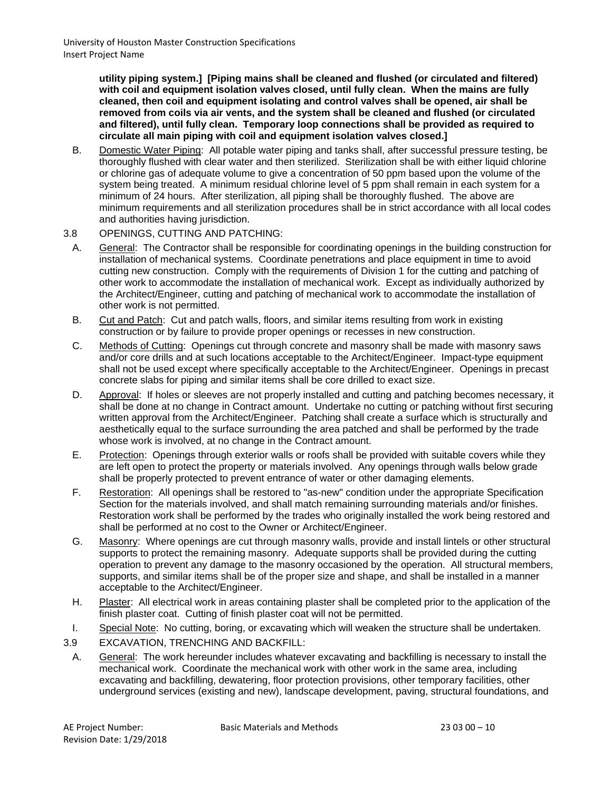**utility piping system.] [Piping mains shall be cleaned and flushed (or circulated and filtered) with coil and equipment isolation valves closed, until fully clean. When the mains are fully cleaned, then coil and equipment isolating and control valves shall be opened, air shall be removed from coils via air vents, and the system shall be cleaned and flushed (or circulated and filtered), until fully clean. Temporary loop connections shall be provided as required to circulate all main piping with coil and equipment isolation valves closed.]**

B. Domestic Water Piping: All potable water piping and tanks shall, after successful pressure testing, be thoroughly flushed with clear water and then sterilized. Sterilization shall be with either liquid chlorine or chlorine gas of adequate volume to give a concentration of 50 ppm based upon the volume of the system being treated. A minimum residual chlorine level of 5 ppm shall remain in each system for a minimum of 24 hours. After sterilization, all piping shall be thoroughly flushed. The above are minimum requirements and all sterilization procedures shall be in strict accordance with all local codes and authorities having jurisdiction.

#### 3.8 OPENINGS, CUTTING AND PATCHING:

- A. General: The Contractor shall be responsible for coordinating openings in the building construction for installation of mechanical systems. Coordinate penetrations and place equipment in time to avoid cutting new construction. Comply with the requirements of Division 1 for the cutting and patching of other work to accommodate the installation of mechanical work. Except as individually authorized by the Architect/Engineer, cutting and patching of mechanical work to accommodate the installation of other work is not permitted.
- B. Cut and Patch: Cut and patch walls, floors, and similar items resulting from work in existing construction or by failure to provide proper openings or recesses in new construction.
- C. Methods of Cutting: Openings cut through concrete and masonry shall be made with masonry saws and/or core drills and at such locations acceptable to the Architect/Engineer. Impact-type equipment shall not be used except where specifically acceptable to the Architect/Engineer. Openings in precast concrete slabs for piping and similar items shall be core drilled to exact size.
- D. Approval: If holes or sleeves are not properly installed and cutting and patching becomes necessary, it shall be done at no change in Contract amount. Undertake no cutting or patching without first securing written approval from the Architect/Engineer. Patching shall create a surface which is structurally and aesthetically equal to the surface surrounding the area patched and shall be performed by the trade whose work is involved, at no change in the Contract amount.
- E. Protection: Openings through exterior walls or roofs shall be provided with suitable covers while they are left open to protect the property or materials involved. Any openings through walls below grade shall be properly protected to prevent entrance of water or other damaging elements.
- F. Restoration: All openings shall be restored to "as-new" condition under the appropriate Specification Section for the materials involved, and shall match remaining surrounding materials and/or finishes. Restoration work shall be performed by the trades who originally installed the work being restored and shall be performed at no cost to the Owner or Architect/Engineer.
- G. Masonry: Where openings are cut through masonry walls, provide and install lintels or other structural supports to protect the remaining masonry. Adequate supports shall be provided during the cutting operation to prevent any damage to the masonry occasioned by the operation. All structural members, supports, and similar items shall be of the proper size and shape, and shall be installed in a manner acceptable to the Architect/Engineer.
- H. Plaster: All electrical work in areas containing plaster shall be completed prior to the application of the finish plaster coat. Cutting of finish plaster coat will not be permitted.
- I. Special Note: No cutting, boring, or excavating which will weaken the structure shall be undertaken.
- 3.9 EXCAVATION, TRENCHING AND BACKFILL:
- A. General: The work hereunder includes whatever excavating and backfilling is necessary to install the mechanical work. Coordinate the mechanical work with other work in the same area, including excavating and backfilling, dewatering, floor protection provisions, other temporary facilities, other underground services (existing and new), landscape development, paving, structural foundations, and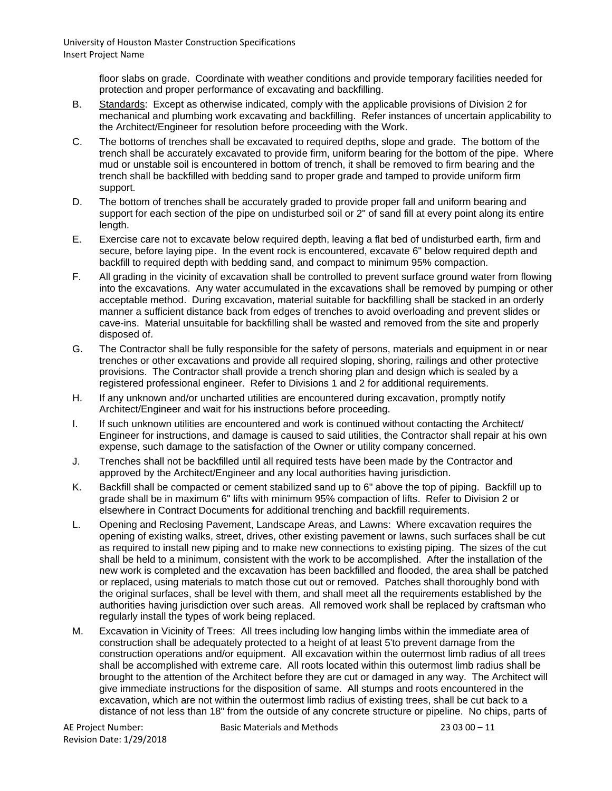> floor slabs on grade. Coordinate with weather conditions and provide temporary facilities needed for protection and proper performance of excavating and backfilling.

- B. Standards: Except as otherwise indicated, comply with the applicable provisions of Division 2 for mechanical and plumbing work excavating and backfilling. Refer instances of uncertain applicability to the Architect/Engineer for resolution before proceeding with the Work.
- C. The bottoms of trenches shall be excavated to required depths, slope and grade. The bottom of the trench shall be accurately excavated to provide firm, uniform bearing for the bottom of the pipe. Where mud or unstable soil is encountered in bottom of trench, it shall be removed to firm bearing and the trench shall be backfilled with bedding sand to proper grade and tamped to provide uniform firm support.
- D. The bottom of trenches shall be accurately graded to provide proper fall and uniform bearing and support for each section of the pipe on undisturbed soil or 2" of sand fill at every point along its entire length.
- E. Exercise care not to excavate below required depth, leaving a flat bed of undisturbed earth, firm and secure, before laying pipe. In the event rock is encountered, excavate 6" below required depth and backfill to required depth with bedding sand, and compact to minimum 95% compaction.
- F. All grading in the vicinity of excavation shall be controlled to prevent surface ground water from flowing into the excavations. Any water accumulated in the excavations shall be removed by pumping or other acceptable method. During excavation, material suitable for backfilling shall be stacked in an orderly manner a sufficient distance back from edges of trenches to avoid overloading and prevent slides or cave-ins. Material unsuitable for backfilling shall be wasted and removed from the site and properly disposed of.
- G. The Contractor shall be fully responsible for the safety of persons, materials and equipment in or near trenches or other excavations and provide all required sloping, shoring, railings and other protective provisions. The Contractor shall provide a trench shoring plan and design which is sealed by a registered professional engineer. Refer to Divisions 1 and 2 for additional requirements.
- H. If any unknown and/or uncharted utilities are encountered during excavation, promptly notify Architect/Engineer and wait for his instructions before proceeding.
- I. If such unknown utilities are encountered and work is continued without contacting the Architect/ Engineer for instructions, and damage is caused to said utilities, the Contractor shall repair at his own expense, such damage to the satisfaction of the Owner or utility company concerned.
- J. Trenches shall not be backfilled until all required tests have been made by the Contractor and approved by the Architect/Engineer and any local authorities having jurisdiction.
- K. Backfill shall be compacted or cement stabilized sand up to 6" above the top of piping. Backfill up to grade shall be in maximum 6" lifts with minimum 95% compaction of lifts. Refer to Division 2 or elsewhere in Contract Documents for additional trenching and backfill requirements.
- L. Opening and Reclosing Pavement, Landscape Areas, and Lawns: Where excavation requires the opening of existing walks, street, drives, other existing pavement or lawns, such surfaces shall be cut as required to install new piping and to make new connections to existing piping. The sizes of the cut shall be held to a minimum, consistent with the work to be accomplished. After the installation of the new work is completed and the excavation has been backfilled and flooded, the area shall be patched or replaced, using materials to match those cut out or removed. Patches shall thoroughly bond with the original surfaces, shall be level with them, and shall meet all the requirements established by the authorities having jurisdiction over such areas. All removed work shall be replaced by craftsman who regularly install the types of work being replaced.
- M. Excavation in Vicinity of Trees: All trees including low hanging limbs within the immediate area of construction shall be adequately protected to a height of at least 5'to prevent damage from the construction operations and/or equipment. All excavation within the outermost limb radius of all trees shall be accomplished with extreme care. All roots located within this outermost limb radius shall be brought to the attention of the Architect before they are cut or damaged in any way. The Architect will give immediate instructions for the disposition of same. All stumps and roots encountered in the excavation, which are not within the outermost limb radius of existing trees, shall be cut back to a distance of not less than 18" from the outside of any concrete structure or pipeline. No chips, parts of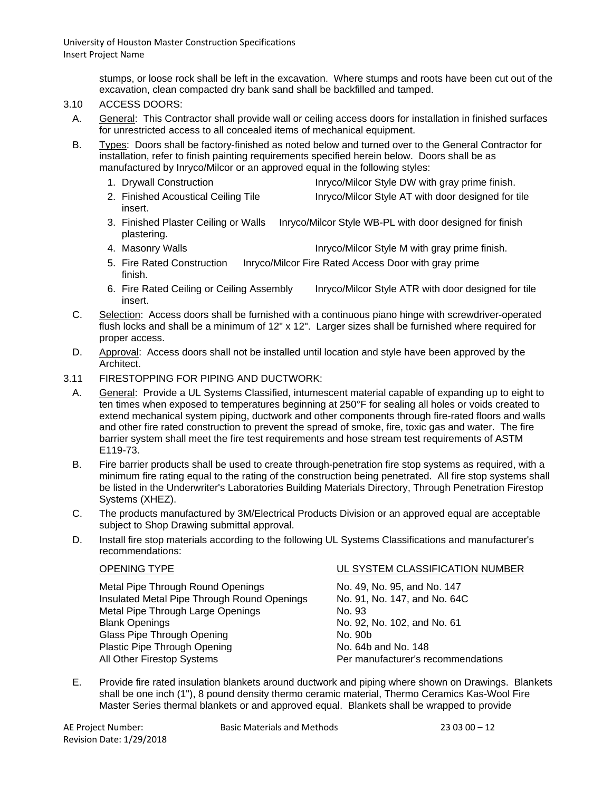> stumps, or loose rock shall be left in the excavation. Where stumps and roots have been cut out of the excavation, clean compacted dry bank sand shall be backfilled and tamped.

## 3.10 ACCESS DOORS:

A. General: This Contractor shall provide wall or ceiling access doors for installation in finished surfaces for unrestricted access to all concealed items of mechanical equipment.

B. Types: Doors shall be factory-finished as noted below and turned over to the General Contractor for installation, refer to finish painting requirements specified herein below. Doors shall be as manufactured by Inryco/Milcor or an approved equal in the following styles:

- 1. Drywall Construction **Internal Interior Intervellet Construction** Inryco/Milcor Style DW with gray prime finish.
- 2. Finished Acoustical Ceiling Tile Inryco/Milcor Style AT with door designed for tile insert.
- 3. Finished Plaster Ceiling or Walls Inryco/Milcor Style WB-PL with door designed for finish plastering.
- 4. Masonry Walls **Internal intervention Communist Communist** Inryco/Milcor Style M with gray prime finish.
- 5. Fire Rated Construction Inryco/Milcor Fire Rated Access Door with gray prime finish.
- 6. Fire Rated Ceiling or Ceiling Assembly Inryco/Milcor Style ATR with door designed for tile insert.
- C. Selection: Access doors shall be furnished with a continuous piano hinge with screwdriver-operated flush locks and shall be a minimum of 12" x 12". Larger sizes shall be furnished where required for proper access.
- D. Approval: Access doors shall not be installed until location and style have been approved by the Architect.
- 3.11 FIRESTOPPING FOR PIPING AND DUCTWORK:
	- A. General: Provide a UL Systems Classified, intumescent material capable of expanding up to eight to ten times when exposed to temperatures beginning at 250°F for sealing all holes or voids created to extend mechanical system piping, ductwork and other components through fire-rated floors and walls and other fire rated construction to prevent the spread of smoke, fire, toxic gas and water. The fire barrier system shall meet the fire test requirements and hose stream test requirements of ASTM E119-73.
	- B. Fire barrier products shall be used to create through-penetration fire stop systems as required, with a minimum fire rating equal to the rating of the construction being penetrated. All fire stop systems shall be listed in the Underwriter's Laboratories Building Materials Directory, Through Penetration Firestop Systems (XHEZ).
	- C. The products manufactured by 3M/Electrical Products Division or an approved equal are acceptable subject to Shop Drawing submittal approval.
	- D. Install fire stop materials according to the following UL Systems Classifications and manufacturer's recommendations:

Metal Pipe Through Round Openings No. 49, No. 95, and No. 147<br>Insulated Metal Pipe Through Round Openings No. 91, No. 147, and No. 64C Insulated Metal Pipe Through Round Openings Metal Pipe Through Large Openings No. 93 Blank Openings<br>
Glass Pipe Through Opening<br>
Glass Pipe Through Opening<br>
No. 90b Glass Pipe Through Opening Plastic Pipe Through Opening<br>
All Other Firestop Systems<br>
Per manufacturer's re

#### OPENING TYPE UL SYSTEM CLASSIFICATION NUMBER

Per manufacturer's recommendations

E. Provide fire rated insulation blankets around ductwork and piping where shown on Drawings. Blankets shall be one inch (1"), 8 pound density thermo ceramic material, Thermo Ceramics Kas-Wool Fire Master Series thermal blankets or and approved equal. Blankets shall be wrapped to provide

Revision Date: 1/29/2018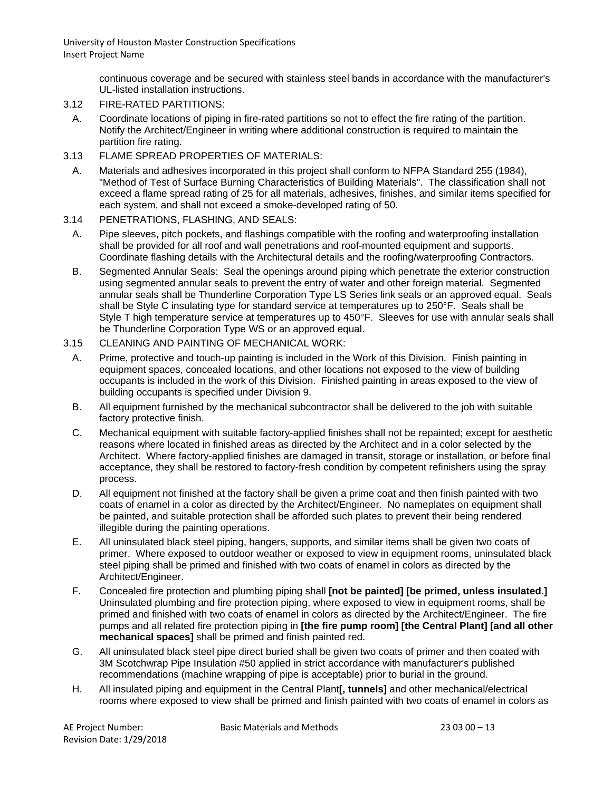> continuous coverage and be secured with stainless steel bands in accordance with the manufacturer's UL-listed installation instructions.

- 3.12 FIRE-RATED PARTITIONS:
	- A. Coordinate locations of piping in fire-rated partitions so not to effect the fire rating of the partition. Notify the Architect/Engineer in writing where additional construction is required to maintain the partition fire rating.
- 3.13 FLAME SPREAD PROPERTIES OF MATERIALS:
	- A. Materials and adhesives incorporated in this project shall conform to NFPA Standard 255 (1984), "Method of Test of Surface Burning Characteristics of Building Materials". The classification shall not exceed a flame spread rating of 25 for all materials, adhesives, finishes, and similar items specified for each system, and shall not exceed a smoke-developed rating of 50.
- 3.14 PENETRATIONS, FLASHING, AND SEALS:
	- A. Pipe sleeves, pitch pockets, and flashings compatible with the roofing and waterproofing installation shall be provided for all roof and wall penetrations and roof-mounted equipment and supports. Coordinate flashing details with the Architectural details and the roofing/waterproofing Contractors.
	- B. Segmented Annular Seals: Seal the openings around piping which penetrate the exterior construction using segmented annular seals to prevent the entry of water and other foreign material. Segmented annular seals shall be Thunderline Corporation Type LS Series link seals or an approved equal. Seals shall be Style C insulating type for standard service at temperatures up to 250°F. Seals shall be Style T high temperature service at temperatures up to 450°F. Sleeves for use with annular seals shall be Thunderline Corporation Type WS or an approved equal.
- 3.15 CLEANING AND PAINTING OF MECHANICAL WORK:
- A. Prime, protective and touch-up painting is included in the Work of this Division. Finish painting in equipment spaces, concealed locations, and other locations not exposed to the view of building occupants is included in the work of this Division. Finished painting in areas exposed to the view of building occupants is specified under Division 9.
- B. All equipment furnished by the mechanical subcontractor shall be delivered to the job with suitable factory protective finish.
- C. Mechanical equipment with suitable factory-applied finishes shall not be repainted; except for aesthetic reasons where located in finished areas as directed by the Architect and in a color selected by the Architect. Where factory-applied finishes are damaged in transit, storage or installation, or before final acceptance, they shall be restored to factory-fresh condition by competent refinishers using the spray process.
- D. All equipment not finished at the factory shall be given a prime coat and then finish painted with two coats of enamel in a color as directed by the Architect/Engineer. No nameplates on equipment shall be painted, and suitable protection shall be afforded such plates to prevent their being rendered illegible during the painting operations.
- E. All uninsulated black steel piping, hangers, supports, and similar items shall be given two coats of primer. Where exposed to outdoor weather or exposed to view in equipment rooms, uninsulated black steel piping shall be primed and finished with two coats of enamel in colors as directed by the Architect/Engineer.
- F. Concealed fire protection and plumbing piping shall **[not be painted] [be primed, unless insulated.]** Uninsulated plumbing and fire protection piping, where exposed to view in equipment rooms, shall be primed and finished with two coats of enamel in colors as directed by the Architect/Engineer. The fire pumps and all related fire protection piping in **[the fire pump room] [the Central Plant] [and all other mechanical spaces]** shall be primed and finish painted red.
- G. All uninsulated black steel pipe direct buried shall be given two coats of primer and then coated with 3M Scotchwrap Pipe Insulation #50 applied in strict accordance with manufacturer's published recommendations (machine wrapping of pipe is acceptable) prior to burial in the ground.
- H. All insulated piping and equipment in the Central Plant**[, tunnels]** and other mechanical/electrical rooms where exposed to view shall be primed and finish painted with two coats of enamel in colors as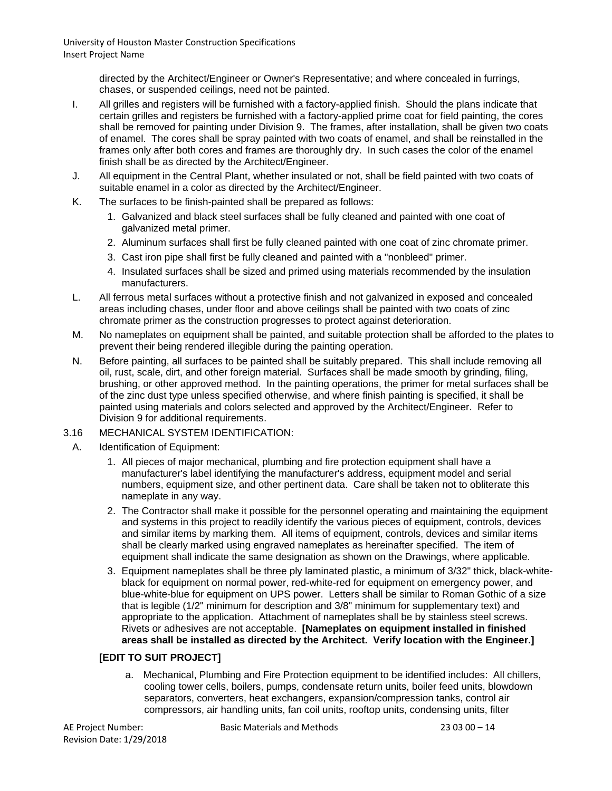> directed by the Architect/Engineer or Owner's Representative; and where concealed in furrings, chases, or suspended ceilings, need not be painted.

- I. All grilles and registers will be furnished with a factory-applied finish. Should the plans indicate that certain grilles and registers be furnished with a factory-applied prime coat for field painting, the cores shall be removed for painting under Division 9. The frames, after installation, shall be given two coats of enamel. The cores shall be spray painted with two coats of enamel, and shall be reinstalled in the frames only after both cores and frames are thoroughly dry. In such cases the color of the enamel finish shall be as directed by the Architect/Engineer.
- J. All equipment in the Central Plant, whether insulated or not, shall be field painted with two coats of suitable enamel in a color as directed by the Architect/Engineer.
- K. The surfaces to be finish-painted shall be prepared as follows:
	- 1. Galvanized and black steel surfaces shall be fully cleaned and painted with one coat of galvanized metal primer.
	- 2. Aluminum surfaces shall first be fully cleaned painted with one coat of zinc chromate primer.
	- 3. Cast iron pipe shall first be fully cleaned and painted with a "nonbleed" primer.
	- 4. Insulated surfaces shall be sized and primed using materials recommended by the insulation manufacturers.
- L. All ferrous metal surfaces without a protective finish and not galvanized in exposed and concealed areas including chases, under floor and above ceilings shall be painted with two coats of zinc chromate primer as the construction progresses to protect against deterioration.
- M. No nameplates on equipment shall be painted, and suitable protection shall be afforded to the plates to prevent their being rendered illegible during the painting operation.
- N. Before painting, all surfaces to be painted shall be suitably prepared. This shall include removing all oil, rust, scale, dirt, and other foreign material. Surfaces shall be made smooth by grinding, filing, brushing, or other approved method. In the painting operations, the primer for metal surfaces shall be of the zinc dust type unless specified otherwise, and where finish painting is specified, it shall be painted using materials and colors selected and approved by the Architect/Engineer. Refer to Division 9 for additional requirements.

#### 3.16 MECHANICAL SYSTEM IDENTIFICATION:

- A. Identification of Equipment:
	- 1. All pieces of major mechanical, plumbing and fire protection equipment shall have a manufacturer's label identifying the manufacturer's address, equipment model and serial numbers, equipment size, and other pertinent data. Care shall be taken not to obliterate this nameplate in any way.
	- 2. The Contractor shall make it possible for the personnel operating and maintaining the equipment and systems in this project to readily identify the various pieces of equipment, controls, devices and similar items by marking them. All items of equipment, controls, devices and similar items shall be clearly marked using engraved nameplates as hereinafter specified. The item of equipment shall indicate the same designation as shown on the Drawings, where applicable.
	- 3. Equipment nameplates shall be three ply laminated plastic, a minimum of 3/32" thick, black-whiteblack for equipment on normal power, red-white-red for equipment on emergency power, and blue-white-blue for equipment on UPS power. Letters shall be similar to Roman Gothic of a size that is legible (1/2" minimum for description and 3/8" minimum for supplementary text) and appropriate to the application. Attachment of nameplates shall be by stainless steel screws. Rivets or adhesives are not acceptable. **[Nameplates on equipment installed in finished areas shall be installed as directed by the Architect. Verify location with the Engineer.]**

#### **[EDIT TO SUIT PROJECT]**

a. Mechanical, Plumbing and Fire Protection equipment to be identified includes: All chillers, cooling tower cells, boilers, pumps, condensate return units, boiler feed units, blowdown separators, converters, heat exchangers, expansion/compression tanks, control air compressors, air handling units, fan coil units, rooftop units, condensing units, filter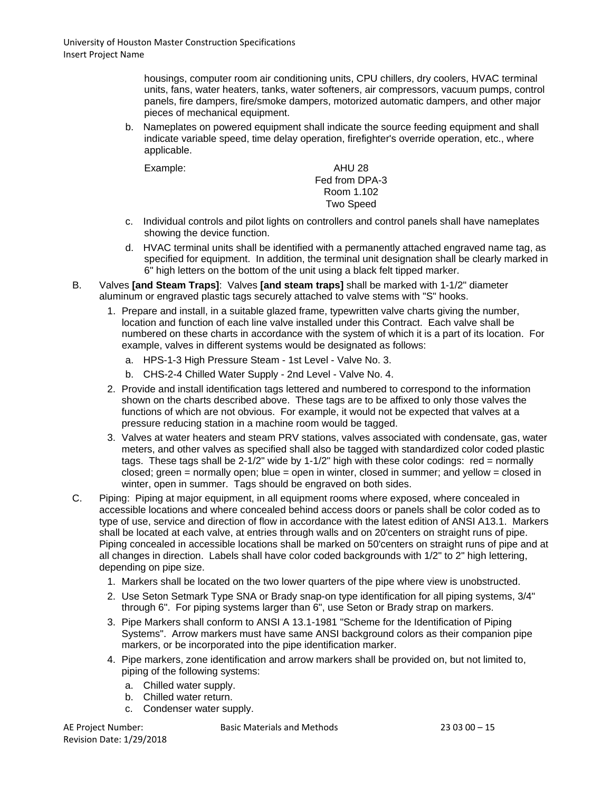housings, computer room air conditioning units, CPU chillers, dry coolers, HVAC terminal units, fans, water heaters, tanks, water softeners, air compressors, vacuum pumps, control panels, fire dampers, fire/smoke dampers, motorized automatic dampers, and other major pieces of mechanical equipment.

b. Nameplates on powered equipment shall indicate the source feeding equipment and shall indicate variable speed, time delay operation, firefighter's override operation, etc., where applicable.

Example: AHU 28 Fed from DPA-3 Room 1.102 Two Speed

- c. Individual controls and pilot lights on controllers and control panels shall have nameplates showing the device function.
- d. HVAC terminal units shall be identified with a permanently attached engraved name tag, as specified for equipment. In addition, the terminal unit designation shall be clearly marked in 6" high letters on the bottom of the unit using a black felt tipped marker.
- B. Valves **[and Steam Traps]**: Valves **[and steam traps]** shall be marked with 1-1/2" diameter aluminum or engraved plastic tags securely attached to valve stems with "S" hooks.
	- 1. Prepare and install, in a suitable glazed frame, typewritten valve charts giving the number, location and function of each line valve installed under this Contract. Each valve shall be numbered on these charts in accordance with the system of which it is a part of its location. For example, valves in different systems would be designated as follows:
		- a. HPS-1-3 High Pressure Steam 1st Level Valve No. 3.
		- b. CHS-2-4 Chilled Water Supply 2nd Level Valve No. 4.
	- 2. Provide and install identification tags lettered and numbered to correspond to the information shown on the charts described above. These tags are to be affixed to only those valves the functions of which are not obvious. For example, it would not be expected that valves at a pressure reducing station in a machine room would be tagged.
	- 3. Valves at water heaters and steam PRV stations, valves associated with condensate, gas, water meters, and other valves as specified shall also be tagged with standardized color coded plastic tags. These tags shall be  $2-1/2$ " wide by  $1-1/2$ " high with these color codings: red = normally closed; green = normally open; blue = open in winter, closed in summer; and yellow = closed in winter, open in summer. Tags should be engraved on both sides.
- C. Piping: Piping at major equipment, in all equipment rooms where exposed, where concealed in accessible locations and where concealed behind access doors or panels shall be color coded as to type of use, service and direction of flow in accordance with the latest edition of ANSI A13.1. Markers shall be located at each valve, at entries through walls and on 20'centers on straight runs of pipe. Piping concealed in accessible locations shall be marked on 50'centers on straight runs of pipe and at all changes in direction. Labels shall have color coded backgrounds with 1/2" to 2" high lettering, depending on pipe size.
	- 1. Markers shall be located on the two lower quarters of the pipe where view is unobstructed.
	- 2. Use Seton Setmark Type SNA or Brady snap-on type identification for all piping systems, 3/4" through 6". For piping systems larger than 6", use Seton or Brady strap on markers.
	- 3. Pipe Markers shall conform to ANSI A 13.1-1981 "Scheme for the Identification of Piping Systems". Arrow markers must have same ANSI background colors as their companion pipe markers, or be incorporated into the pipe identification marker.
	- 4. Pipe markers, zone identification and arrow markers shall be provided on, but not limited to, piping of the following systems:
		- a. Chilled water supply.
		- b. Chilled water return.
		- c. Condenser water supply.

Revision Date: 1/29/2018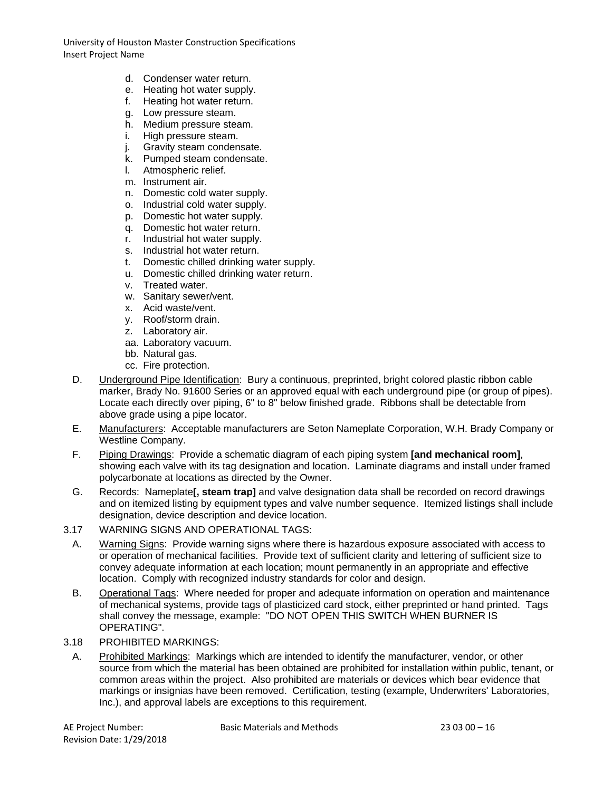- d. Condenser water return.
- e. Heating hot water supply.
- f. Heating hot water return.
- g. Low pressure steam.
- h. Medium pressure steam.
- 
- i. High pressure steam.<br>j. Gravity steam conden Gravity steam condensate.
- k. Pumped steam condensate.
- l. Atmospheric relief.
- m. Instrument air.
- n. Domestic cold water supply.
- o. Industrial cold water supply.
- p. Domestic hot water supply.
- q. Domestic hot water return.
- r. Industrial hot water supply.
- s. Industrial hot water return.
- t. Domestic chilled drinking water supply.
- u. Domestic chilled drinking water return.
- v. Treated water.
- w. Sanitary sewer/vent.
- x. Acid waste/vent.
- y. Roof/storm drain.
- z. Laboratory air.
- aa. Laboratory vacuum.
- bb. Natural gas.
- cc. Fire protection.
- D. Underground Pipe Identification: Bury a continuous, preprinted, bright colored plastic ribbon cable marker, Brady No. 91600 Series or an approved equal with each underground pipe (or group of pipes). Locate each directly over piping, 6" to 8" below finished grade. Ribbons shall be detectable from above grade using a pipe locator.
- E. Manufacturers: Acceptable manufacturers are Seton Nameplate Corporation, W.H. Brady Company or Westline Company.
- F. Piping Drawings: Provide a schematic diagram of each piping system **[and mechanical room]**, showing each valve with its tag designation and location. Laminate diagrams and install under framed polycarbonate at locations as directed by the Owner.
- G. Records: Nameplate**[, steam trap]** and valve designation data shall be recorded on record drawings and on itemized listing by equipment types and valve number sequence. Itemized listings shall include designation, device description and device location.
- 3.17 WARNING SIGNS AND OPERATIONAL TAGS:
	- A. Warning Signs: Provide warning signs where there is hazardous exposure associated with access to or operation of mechanical facilities. Provide text of sufficient clarity and lettering of sufficient size to convey adequate information at each location; mount permanently in an appropriate and effective location. Comply with recognized industry standards for color and design.
	- B. Operational Tags: Where needed for proper and adequate information on operation and maintenance of mechanical systems, provide tags of plasticized card stock, either preprinted or hand printed. Tags shall convey the message, example: "DO NOT OPEN THIS SWITCH WHEN BURNER IS OPERATING".
- 3.18 PROHIBITED MARKINGS:
- A. Prohibited Markings: Markings which are intended to identify the manufacturer, vendor, or other source from which the material has been obtained are prohibited for installation within public, tenant, or common areas within the project. Also prohibited are materials or devices which bear evidence that markings or insignias have been removed. Certification, testing (example, Underwriters' Laboratories, Inc.), and approval labels are exceptions to this requirement.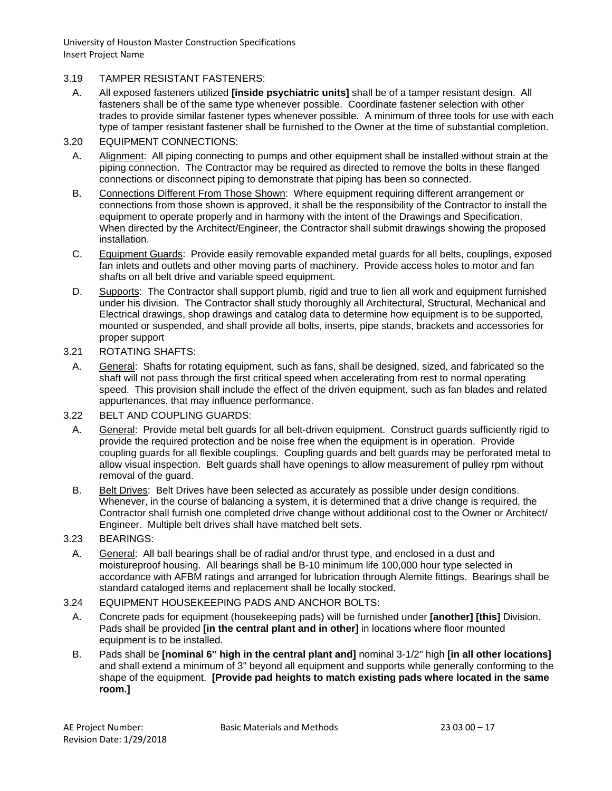## 3.19 TAMPER RESISTANT FASTENERS:

- A. All exposed fasteners utilized **[inside psychiatric units]** shall be of a tamper resistant design. All fasteners shall be of the same type whenever possible. Coordinate fastener selection with other trades to provide similar fastener types whenever possible. A minimum of three tools for use with each type of tamper resistant fastener shall be furnished to the Owner at the time of substantial completion.
- 3.20 EQUIPMENT CONNECTIONS:
- A. Alignment: All piping connecting to pumps and other equipment shall be installed without strain at the piping connection. The Contractor may be required as directed to remove the bolts in these flanged connections or disconnect piping to demonstrate that piping has been so connected.
- B. Connections Different From Those Shown: Where equipment requiring different arrangement or connections from those shown is approved, it shall be the responsibility of the Contractor to install the equipment to operate properly and in harmony with the intent of the Drawings and Specification. When directed by the Architect/Engineer, the Contractor shall submit drawings showing the proposed installation.
- C. Equipment Guards: Provide easily removable expanded metal guards for all belts, couplings, exposed fan inlets and outlets and other moving parts of machinery. Provide access holes to motor and fan shafts on all belt drive and variable speed equipment.
- D. Supports: The Contractor shall support plumb, rigid and true to lien all work and equipment furnished under his division. The Contractor shall study thoroughly all Architectural, Structural, Mechanical and Electrical drawings, shop drawings and catalog data to determine how equipment is to be supported, mounted or suspended, and shall provide all bolts, inserts, pipe stands, brackets and accessories for proper support
- 3.21 ROTATING SHAFTS:
	- A. General: Shafts for rotating equipment, such as fans, shall be designed, sized, and fabricated so the shaft will not pass through the first critical speed when accelerating from rest to normal operating speed. This provision shall include the effect of the driven equipment, such as fan blades and related appurtenances, that may influence performance.
- 3.22 BELT AND COUPLING GUARDS:
	- A. General: Provide metal belt guards for all belt-driven equipment. Construct guards sufficiently rigid to provide the required protection and be noise free when the equipment is in operation. Provide coupling guards for all flexible couplings. Coupling guards and belt guards may be perforated metal to allow visual inspection. Belt guards shall have openings to allow measurement of pulley rpm without removal of the guard.
	- B. Belt Drives: Belt Drives have been selected as accurately as possible under design conditions. Whenever, in the course of balancing a system, it is determined that a drive change is required, the Contractor shall furnish one completed drive change without additional cost to the Owner or Architect/ Engineer. Multiple belt drives shall have matched belt sets.
- 3.23 BEARINGS:
- A. General: All ball bearings shall be of radial and/or thrust type, and enclosed in a dust and moistureproof housing. All bearings shall be B-10 minimum life 100,000 hour type selected in accordance with AFBM ratings and arranged for lubrication through Alemite fittings. Bearings shall be standard cataloged items and replacement shall be locally stocked.

# 3.24 EQUIPMENT HOUSEKEEPING PADS AND ANCHOR BOLTS:

- A. Concrete pads for equipment (housekeeping pads) will be furnished under **[another] [this]** Division. Pads shall be provided **[in the central plant and in other]** in locations where floor mounted equipment is to be installed.
- B. Pads shall be **[nominal 6" high in the central plant and]** nominal 3-1/2" high **[in all other locations]** and shall extend a minimum of 3" beyond all equipment and supports while generally conforming to the shape of the equipment. **[Provide pad heights to match existing pads where located in the same room.]**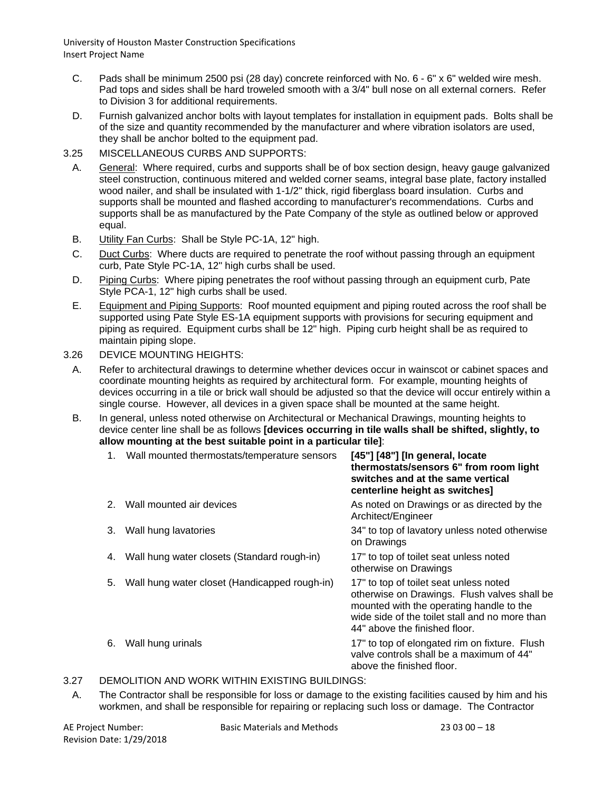- C. Pads shall be minimum 2500 psi (28 day) concrete reinforced with No. 6 6" x 6" welded wire mesh. Pad tops and sides shall be hard troweled smooth with a 3/4" bull nose on all external corners. Refer to Division 3 for additional requirements.
- D. Furnish galvanized anchor bolts with layout templates for installation in equipment pads. Bolts shall be of the size and quantity recommended by the manufacturer and where vibration isolators are used, they shall be anchor bolted to the equipment pad.
- 3.25 MISCELLANEOUS CURBS AND SUPPORTS:
	- A. General: Where required, curbs and supports shall be of box section design, heavy gauge galvanized steel construction, continuous mitered and welded corner seams, integral base plate, factory installed wood nailer, and shall be insulated with 1-1/2" thick, rigid fiberglass board insulation. Curbs and supports shall be mounted and flashed according to manufacturer's recommendations. Curbs and supports shall be as manufactured by the Pate Company of the style as outlined below or approved equal.
	- B. Utility Fan Curbs: Shall be Style PC-1A, 12" high.
	- C. Duct Curbs: Where ducts are required to penetrate the roof without passing through an equipment curb, Pate Style PC-1A, 12" high curbs shall be used.
	- D. Piping Curbs: Where piping penetrates the roof without passing through an equipment curb, Pate Style PCA-1, 12" high curbs shall be used.
	- E. Equipment and Piping Supports: Roof mounted equipment and piping routed across the roof shall be supported using Pate Style ES-1A equipment supports with provisions for securing equipment and piping as required. Equipment curbs shall be 12" high. Piping curb height shall be as required to maintain piping slope.
- 3.26 DEVICE MOUNTING HEIGHTS:
	- A. Refer to architectural drawings to determine whether devices occur in wainscot or cabinet spaces and coordinate mounting heights as required by architectural form. For example, mounting heights of devices occurring in a tile or brick wall should be adjusted so that the device will occur entirely within a single course. However, all devices in a given space shall be mounted at the same height.
	- B. In general, unless noted otherwise on Architectural or Mechanical Drawings, mounting heights to device center line shall be as follows **[devices occurring in tile walls shall be shifted, slightly, to allow mounting at the best suitable point in a particular tile]**:

|    | Wall mounted thermostats/temperature sensors  | [45"] [48"] [In general, locate<br>thermostats/sensors 6" from room light<br>switches and at the same vertical<br>centerline height as switches]                                                                      |
|----|-----------------------------------------------|-----------------------------------------------------------------------------------------------------------------------------------------------------------------------------------------------------------------------|
| 2. | Wall mounted air devices                      | As noted on Drawings or as directed by the<br>Architect/Engineer                                                                                                                                                      |
| 3. | Wall hung lavatories                          | 34" to top of lavatory unless noted otherwise<br>on Drawings                                                                                                                                                          |
| 4. | Wall hung water closets (Standard rough-in)   | 17" to top of toilet seat unless noted<br>otherwise on Drawings                                                                                                                                                       |
| 5. | Wall hung water closet (Handicapped rough-in) | 17" to top of toilet seat unless noted<br>otherwise on Drawings. Flush valves shall be<br>mounted with the operating handle to the<br>wide side of the toilet stall and no more than<br>44" above the finished floor. |
| 6. | Wall hung urinals                             | 17" to top of elongated rim on fixture. Flush<br>valve controls shall be a maximum of 44"<br>above the finished floor.                                                                                                |
|    |                                               |                                                                                                                                                                                                                       |

#### 3.27 DEMOLITION AND WORK WITHIN EXISTING BUILDINGS:

A. The Contractor shall be responsible for loss or damage to the existing facilities caused by him and his workmen, and shall be responsible for repairing or replacing such loss or damage. The Contractor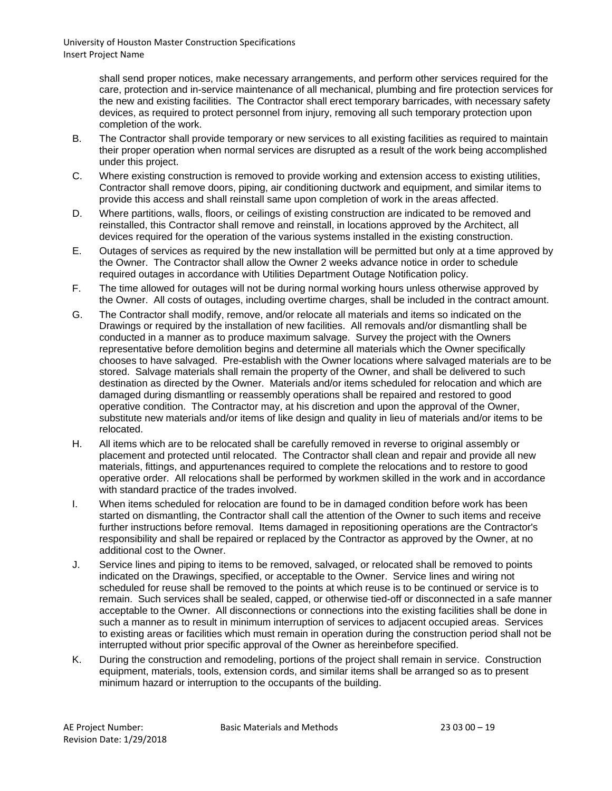> shall send proper notices, make necessary arrangements, and perform other services required for the care, protection and in-service maintenance of all mechanical, plumbing and fire protection services for the new and existing facilities. The Contractor shall erect temporary barricades, with necessary safety devices, as required to protect personnel from injury, removing all such temporary protection upon completion of the work.

- B. The Contractor shall provide temporary or new services to all existing facilities as required to maintain their proper operation when normal services are disrupted as a result of the work being accomplished under this project.
- C. Where existing construction is removed to provide working and extension access to existing utilities, Contractor shall remove doors, piping, air conditioning ductwork and equipment, and similar items to provide this access and shall reinstall same upon completion of work in the areas affected.
- D. Where partitions, walls, floors, or ceilings of existing construction are indicated to be removed and reinstalled, this Contractor shall remove and reinstall, in locations approved by the Architect, all devices required for the operation of the various systems installed in the existing construction.
- E. Outages of services as required by the new installation will be permitted but only at a time approved by the Owner. The Contractor shall allow the Owner 2 weeks advance notice in order to schedule required outages in accordance with Utilities Department Outage Notification policy.
- F. The time allowed for outages will not be during normal working hours unless otherwise approved by the Owner. All costs of outages, including overtime charges, shall be included in the contract amount.
- G. The Contractor shall modify, remove, and/or relocate all materials and items so indicated on the Drawings or required by the installation of new facilities. All removals and/or dismantling shall be conducted in a manner as to produce maximum salvage. Survey the project with the Owners representative before demolition begins and determine all materials which the Owner specifically chooses to have salvaged. Pre-establish with the Owner locations where salvaged materials are to be stored. Salvage materials shall remain the property of the Owner, and shall be delivered to such destination as directed by the Owner. Materials and/or items scheduled for relocation and which are damaged during dismantling or reassembly operations shall be repaired and restored to good operative condition. The Contractor may, at his discretion and upon the approval of the Owner, substitute new materials and/or items of like design and quality in lieu of materials and/or items to be relocated.
- H. All items which are to be relocated shall be carefully removed in reverse to original assembly or placement and protected until relocated. The Contractor shall clean and repair and provide all new materials, fittings, and appurtenances required to complete the relocations and to restore to good operative order. All relocations shall be performed by workmen skilled in the work and in accordance with standard practice of the trades involved.
- I. When items scheduled for relocation are found to be in damaged condition before work has been started on dismantling, the Contractor shall call the attention of the Owner to such items and receive further instructions before removal. Items damaged in repositioning operations are the Contractor's responsibility and shall be repaired or replaced by the Contractor as approved by the Owner, at no additional cost to the Owner.
- J. Service lines and piping to items to be removed, salvaged, or relocated shall be removed to points indicated on the Drawings, specified, or acceptable to the Owner. Service lines and wiring not scheduled for reuse shall be removed to the points at which reuse is to be continued or service is to remain. Such services shall be sealed, capped, or otherwise tied-off or disconnected in a safe manner acceptable to the Owner. All disconnections or connections into the existing facilities shall be done in such a manner as to result in minimum interruption of services to adjacent occupied areas. Services to existing areas or facilities which must remain in operation during the construction period shall not be interrupted without prior specific approval of the Owner as hereinbefore specified.
- K. During the construction and remodeling, portions of the project shall remain in service. Construction equipment, materials, tools, extension cords, and similar items shall be arranged so as to present minimum hazard or interruption to the occupants of the building.